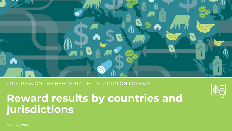

PROGRESS ON THE NEW YORK DECLARATION ON FORESTS

# **Reward results by countries and jurisdictions**



**February 2022**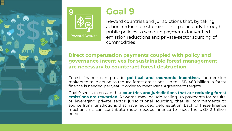



## **Goal 9**

Reward countries and jurisdictions that, by taking action, reduce forest emissions—particularly through public policies to scale-up payments for verified emission reductions and private-sector sourcing of commodities

## **Direct compensation payments coupled with policy and governance incentives for sustainable forest management are necessary to counteract forest destruction.**

Forest finance can provide **political and economic incentives** for decision makers to take action to reduce forest emissions. Up to USD 460 billion in forest finance is needed per year in order to meet Paris Agreement targets.

Goal 9 seeks to ensure that **countries and jurisdictions that are reducing forest emissions are rewarded**. Rewards may include scaling-up payments for results, or leveraging private sector jurisdictional sourcing, that is, commitments to source from jurisdictions that have reduced deforestation. Each of these finance mechanisms can contribute much-needed finance to meet the USD 2 trillion need.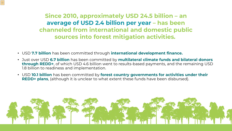**Since 2010, approximately USD 24.5 billion – an average of USD 2.4 billion per year – has been channeled from international and domestic public sources into forest mitigation activities.**

- USD **7.7 billion** has been committed through **international development finance.**
- Just over USD **6.7 billion** has been committed by **multilateral climate funds and bilateral donors through REDD+**, of which USD 4.6 billion went to results-based payments, and the remaining USD 1.8 billion to readiness and implementation.
- USD **10.1 billion** has been committed by **forest country governments for activities under their REDD+ plans**, (although it is unclear to what extent these funds have been disbursed).

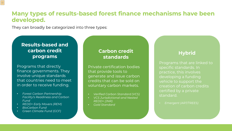## **Many types of results-based forest finance mechanisms have been developed.**

They can broadly be categorized into three types:

## **Results-based and carbon credit programs**

Programs that directly finance governments. They involve unique standards that countries need to meet in order to receive funding.

- *Forest Carbon Partnership Facility's Readiness and Carbon Fund*
- *REDD+ Early Movers (REM)*
- *BioCarbon Fund*

 $|\equiv$ 

• *Green Climate Fund (GCF)*

## **Carbon credit standards**

Private certification bodies that provide tools to generate and issue carbon credits that can be sold on voluntary carbon markets.

- *Verified Carbon Standard (VCS)*
- *VCS Jurisdictional and Nested REDD+ (JNR)*
- *Gold Standard*

## **Hybrid**

Programs that are linked to specific standards. In practice, this involves developing a funding vehicle to support the creation of carbon credits certified by a private standard.

• *Emergent (ART/TREES)*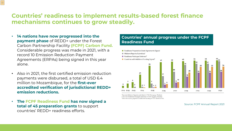## **Countries' readiness to implement results-based forest finance mechanisms continues to grow steadily.**

• **14 nations have now progressed into the payment phase** of REDD+ under the Forest Carbon Partnership Facility **(FCPF) Carbon Fund.** Considerable progress was made in 2021, with a record 10 Emission Reduction Payment Agreements (ERPAs) being signed in this year alone.

 $\equiv$ 

- Also in 2021, the first certified emission reduction payments were disbursed, a total of USD 6.4 million to Mozambique, for the **first-ever accredited verification of jurisdictional REDD+ emission reductions.**
- **The FCPF Readiness Fund has now signed a total of 45 preparation grants** to support countries' REDD+ readiness efforts.

#### **Countries' annual progress under the FCPF Readiness Fund**



<sup>1</sup> Two new Midterm Reports submitted in FY21: Paraguay, Thailand. <sup>2</sup> Two new Readiness Packages endorsed in FY21: Guyana, Vanuatu. <sup>3</sup> One new country signed for additional funding in FY21: Burkina Faso.

Source: FCPF Annual Report 2021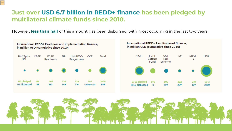## **Just over USD 6.7 billion in REDD+ finance has been pledged by multilateral climate funds since 2010.**

 $\equiv$ 

However, **less than half** of this amount has been disbursed, with most occurring in the last two years.



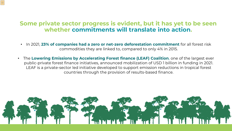## **Some private sector progress is evident, but it has yet to be seen whether commitments will translate into action.**

- In 2021, **23% of companies had a zero or net-zero deforestation commitment** for all forest risk commodities they are linked to, compared to only 4% in 2015.
- The **Lowering Emissions by Accelerating Forest finance (LEAF) Coalition**, one of the largest ever public-private forest finance initiatives, announced mobilization of USD 1 billion in funding in 2021. LEAF is a private-sector led initiative developed to support emission reductions in tropical forest countries through the provision of results-based finance.

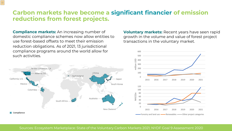## **Carbon markets have become a significant financier of emission reductions from forest projects.**

**Compliance markets:** An increasing number of domestic compliance schemes now allow entities to use forest-based offsets to meet their emission reduction obligations. As of 2021, 13 jurisdictional compliance programs around the world allow for

 $\equiv$ 

**Voluntary markets:** Recent years have seen rapid growth in the volume and value of forest project transactions in the voluntary market.



Sources: Ecosystem Marketplace: State of the Voluntary Carbon Markets 2021; NYDF Goal 9 Assessment 2020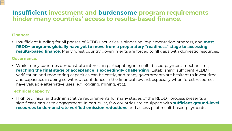## **Insufficient investment and burdensome program requirements hinder many countries' access to results-based finance.**

#### **Finance:**

E

• Insufficient funding for all phases of REDD+ activities is hindering implementation progress, and **most REDD+ programs globally have yet to move from a preparatory "readiness" stage to accessing results-based finance.** Many forest country governments are forced to fill gaps with domestic resources.

#### **Governance:**

• While many countries demonstrate interest in participating in results-based payment mechanisms, **reaching the final stage of acceptance is exceedingly challenging.** Establishing sufficient REDD+ verification and monitoring capacities can be costly, and many governments are hesitant to invest time and capacities in doing so without confidence in the financial reward, especially when forest resources have valuable alternative uses (e.g. logging, mining, etc.).

#### **Technical capacity:**

• High technical and administrative requirements for many stages of the REDD+ process presents a significant barrier to engagement. In particular, few countries are equipped with **sufficient ground-level resources to demonstrate verified emission reductions** and access pilot result-based payments.